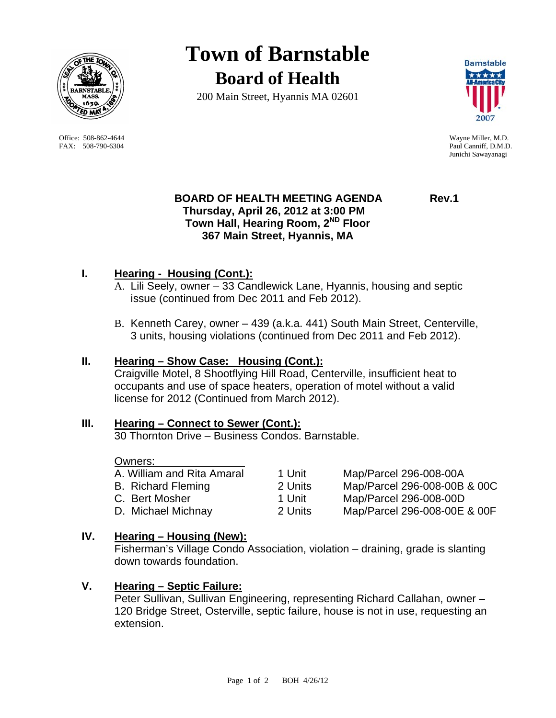

Office: 508-862-4644 Wayne Miller, M.D. FAX: 508-790-6304 Paul Canniff, D.M.D.

# **Town of Barnstable Board of Health**

200 Main Street, Hyannis MA 02601



Junichi Sawayanagi

## **BOARD OF HEALTH MEETING AGENDA Rev.1 Thursday, April 26, 2012 at 3:00 PM Town Hall, Hearing Room, 2ND Floor 367 Main Street, Hyannis, MA**

## **I. Hearing - Housing (Cont.):**

- A. Lili Seely, owner 33 Candlewick Lane, Hyannis, housing and septic issue (continued from Dec 2011 and Feb 2012).
- B. Kenneth Carey, owner 439 (a.k.a. 441) South Main Street, Centerville, 3 units, housing violations (continued from Dec 2011 and Feb 2012).

## **II. Hearing – Show Case: Housing (Cont.):**

Craigville Motel, 8 Shootflying Hill Road, Centerville, insufficient heat to occupants and use of space heaters, operation of motel without a valid license for 2012 (Continued from March 2012).

## **III. Hearing – Connect to Sewer (Cont.):**

30 Thornton Drive – Business Condos. Barnstable.

## Owners:

| A. William and Rita Amaral | 1 Unit  | Map/Parcel 296-008-00A       |
|----------------------------|---------|------------------------------|
| <b>B.</b> Richard Fleming  | 2 Units | Map/Parcel 296-008-00B & 00C |
| C. Bert Mosher             | 1 Unit  | Map/Parcel 296-008-00D       |
| D. Michael Michnay         | 2 Units | Map/Parcel 296-008-00E & 00F |

## **IV. Hearing – Housing (New):**

Fisherman's Village Condo Association, violation – draining, grade is slanting down towards foundation.

## **V. Hearing – Septic Failure:**

Peter Sullivan, Sullivan Engineering, representing Richard Callahan, owner – 120 Bridge Street, Osterville, septic failure, house is not in use, requesting an extension.